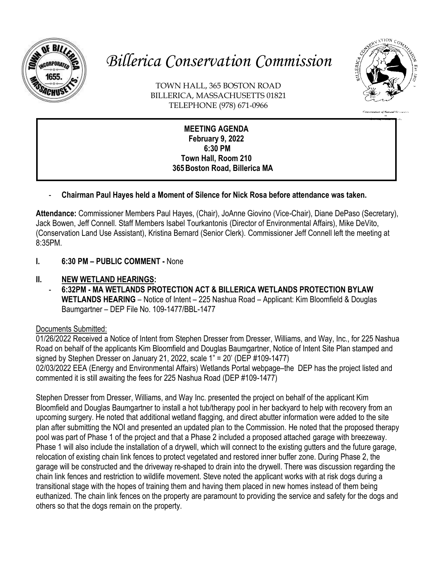

# *Billerica Conservation Commission*



Conservation of Natural Res

TOWN HALL, 365 BOSTON ROAD BILLERICA, MASSACHUSETTS 01821 TELEPHONE (978) 671-0966

## **MEETING AGENDA February 9, 2022 6:30 PM Town Hall, Room 210 365Boston Road, Billerica MA**

# - **Chairman Paul Hayes held a Moment of Silence for Nick Rosa before attendance was taken.**

**Attendance:** Commissioner Members Paul Hayes, (Chair), JoAnne Giovino (Vice-Chair), Diane DePaso (Secretary), Jack Bowen, Jeff Connell. Staff Members Isabel Tourkantonis (Director of Environmental Affairs), Mike DeVito, (Conservation Land Use Assistant), Kristina Bernard (Senior Clerk). Commissioner Jeff Connell left the meeting at 8:35PM.

**I. 6:30 PM – PUBLIC COMMENT -** None

# **II. NEW WETLAND HEARINGS:**

- **6:32PM - MA WETLANDS PROTECTION ACT & BILLERICA WETLANDS PROTECTION BYLAW WETLANDS HEARING** – Notice of Intent – 225 Nashua Road – Applicant: Kim Bloomfield & Douglas Baumgartner – DEP File No. 109-1477/BBL-1477

# Documents Submitted:

01/26/2022 Received a Notice of Intent from Stephen Dresser from Dresser, Williams, and Way, Inc., for 225 Nashua Road on behalf of the applicants Kim Bloomfield and Douglas Baumgartner, Notice of Intent Site Plan stamped and signed by Stephen Dresser on January 21, 2022, scale  $1" = 20'$  (DEP #109-1477) 02/03/2022 EEA (Energy and Environmental Affairs) Wetlands Portal webpage–the DEP has the project listed and commented it is still awaiting the fees for 225 Nashua Road (DEP #109-1477)

Stephen Dresser from Dresser, Williams, and Way Inc. presented the project on behalf of the applicant Kim Bloomfield and Douglas Baumgartner to install a hot tub/therapy pool in her backyard to help with recovery from an upcoming surgery. He noted that additional wetland flagging, and direct abutter information were added to the site plan after submitting the NOI and presented an updated plan to the Commission. He noted that the proposed therapy pool was part of Phase 1 of the project and that a Phase 2 included a proposed attached garage with breezeway. Phase 1 will also include the installation of a drywell, which will connect to the existing gutters and the future garage, relocation of existing chain link fences to protect vegetated and restored inner buffer zone. During Phase 2, the garage will be constructed and the driveway re-shaped to drain into the drywell. There was discussion regarding the chain link fences and restriction to wildlife movement. Steve noted the applicant works with at risk dogs during a transitional stage with the hopes of training them and having them placed in new homes instead of them being euthanized. The chain link fences on the property are paramount to providing the service and safety for the dogs and others so that the dogs remain on the property.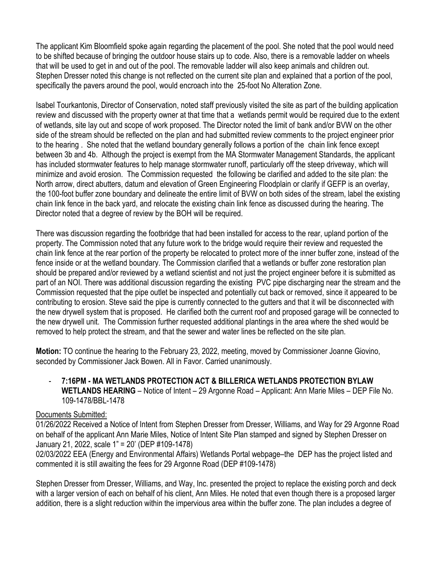The applicant Kim Bloomfield spoke again regarding the placement of the pool. She noted that the pool would need to be shifted because of bringing the outdoor house stairs up to code. Also, there is a removable ladder on wheels that will be used to get in and out of the pool. The removable ladder will also keep animals and children out. Stephen Dresser noted this change is not reflected on the current site plan and explained that a portion of the pool, specifically the pavers around the pool, would encroach into the 25-foot No Alteration Zone.

Isabel Tourkantonis, Director of Conservation, noted staff previously visited the site as part of the building application review and discussed with the property owner at that time that a wetlands permit would be required due to the extent of wetlands, site lay out and scope of work proposed. The Director noted the limit of bank and/or BVW on the other side of the stream should be reflected on the plan and had submitted review comments to the project engineer prior to the hearing . She noted that the wetland boundary generally follows a portion of the chain link fence except between 3b and 4b. Although the project is exempt from the MA Stormwater Management Standards, the applicant has included stormwater features to help manage stormwater runoff, particularly off the steep driveway, which will minimize and avoid erosion. The Commission requested the following be clarified and added to the site plan: the North arrow, direct abutters, datum and elevation of Green Engineering Floodplain or clarify if GEFP is an overlay, the 100-foot buffer zone boundary and delineate the entire limit of BVW on both sides of the stream, label the existing chain link fence in the back yard, and relocate the existing chain link fence as discussed during the hearing. The Director noted that a degree of review by the BOH will be required.

There was discussion regarding the footbridge that had been installed for access to the rear, upland portion of the property. The Commission noted that any future work to the bridge would require their review and requested the chain link fence at the rear portion of the property be relocated to protect more of the inner buffer zone, instead of the fence inside or at the wetland boundary. The Commission clarified that a wetlands or buffer zone restoration plan should be prepared and/or reviewed by a wetland scientist and not just the project engineer before it is submitted as part of an NOI. There was additional discussion regarding the existing PVC pipe discharging near the stream and the Commission requested that the pipe outlet be inspected and potentially cut back or removed, since it appeared to be contributing to erosion. Steve said the pipe is currently connected to the gutters and that it will be disconnected with the new drywell system that is proposed. He clarified both the current roof and proposed garage will be connected to the new drywell unit. The Commission further requested additional plantings in the area where the shed would be removed to help protect the stream, and that the sewer and water lines be reflected on the site plan.

**Motion:** TO continue the hearing to the February 23, 2022, meeting, moved by Commissioner Joanne Giovino, seconded by Commissioner Jack Bowen. All in Favor. Carried unanimously.

- **7:16PM - MA WETLANDS PROTECTION ACT & BILLERICA WETLANDS PROTECTION BYLAW WETLANDS HEARING** – Notice of Intent – 29 Argonne Road – Applicant: Ann Marie Miles – DEP File No. 109-1478/BBL-1478

#### Documents Submitted:

01/26/2022 Received a Notice of Intent from Stephen Dresser from Dresser, Williams, and Way for 29 Argonne Road on behalf of the applicant Ann Marie Miles, Notice of Intent Site Plan stamped and signed by Stephen Dresser on January 21, 2022, scale 1" = 20' (DEP #109-1478) 02/03/2022 EEA (Energy and Environmental Affairs) Wetlands Portal webpage–the DEP has the project listed and commented it is still awaiting the fees for 29 Argonne Road (DEP #109-1478)

Stephen Dresser from Dresser, Williams, and Way, Inc. presented the project to replace the existing porch and deck with a larger version of each on behalf of his client, Ann Miles. He noted that even though there is a proposed larger addition, there is a slight reduction within the impervious area within the buffer zone. The plan includes a degree of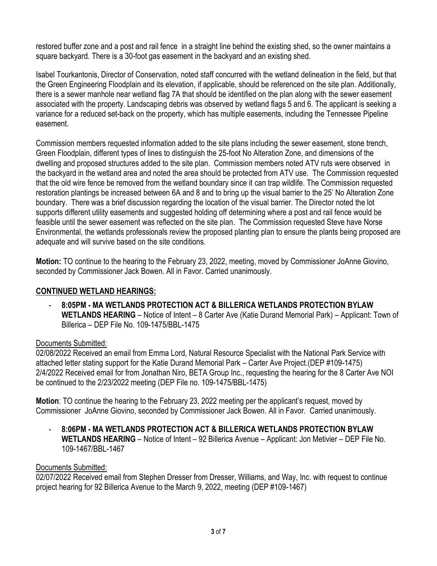restored buffer zone and a post and rail fence in a straight line behind the existing shed, so the owner maintains a square backyard. There is a 30-foot gas easement in the backyard and an existing shed.

Isabel Tourkantonis, Director of Conservation, noted staff concurred with the wetland delineation in the field, but that the Green Engineering Floodplain and its elevation, if applicable, should be referenced on the site plan. Additionally, there is a sewer manhole near wetland flag 7A that should be identified on the plan along with the sewer easement associated with the property. Landscaping debris was observed by wetland flags 5 and 6. The applicant is seeking a variance for a reduced set-back on the property, which has multiple easements, including the Tennessee Pipeline easement.

Commission members requested information added to the site plans including the sewer easement, stone trench, Green Floodplain, different types of lines to distinguish the 25-foot No Alteration Zone, and dimensions of the dwelling and proposed structures added to the site plan. Commission members noted ATV ruts were observed in the backyard in the wetland area and noted the area should be protected from ATV use. The Commission requested that the old wire fence be removed from the wetland boundary since it can trap wildlife. The Commission requested restoration plantings be increased between 6A and 8 and to bring up the visual barrier to the 25' No Alteration Zone boundary. There was a brief discussion regarding the location of the visual barrier. The Director noted the lot supports different utility easements and suggested holding off determining where a post and rail fence would be feasible until the sewer easement was reflected on the site plan. The Commission requested Steve have Norse Environmental, the wetlands professionals review the proposed planting plan to ensure the plants being proposed are adequate and will survive based on the site conditions.

**Motion:** TO continue to the hearing to the February 23, 2022, meeting, moved by Commissioner JoAnne Giovino, seconded by Commissioner Jack Bowen. All in Favor. Carried unanimously.

# **CONTINUED WETLAND HEARINGS:**

- **8:05PM - MA WETLANDS PROTECTION ACT & BILLERICA WETLANDS PROTECTION BYLAW WETLANDS HEARING** – Notice of Intent – 8 Carter Ave (Katie Durand Memorial Park) – Applicant: Town of Billerica – DEP File No. 109-1475/BBL-1475

#### Documents Submitted:

02/08/2022 Received an email from Emma Lord, Natural Resource Specialist with the National Park Service with attached letter stating support for the Katie Durand Memorial Park – Carter Ave Project.(DEP #109-1475) 2/4/2022 Received email for from Jonathan Niro, BETA Group Inc., requesting the hearing for the 8 Carter Ave NOI be continued to the 2/23/2022 meeting (DEP File no. 109-1475/BBL-1475)

**Motion**: TO continue the hearing to the February 23, 2022 meeting per the applicant's request, moved by Commissioner JoAnne Giovino, seconded by Commissioner Jack Bowen. All in Favor. Carried unanimously.

- **8:06PM - MA WETLANDS PROTECTION ACT & BILLERICA WETLANDS PROTECTION BYLAW WETLANDS HEARING** – Notice of Intent – 92 Billerica Avenue – Applicant: Jon Metivier – DEP File No. 109-1467/BBL-1467

#### Documents Submitted:

02/07/2022 Received email from Stephen Dresser from Dresser, Williams, and Way, Inc. with request to continue project hearing for 92 Billerica Avenue to the March 9, 2022, meeting (DEP #109-1467)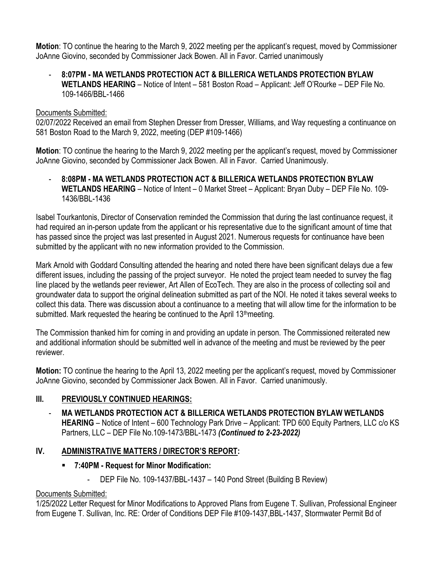**Motion**: TO continue the hearing to the March 9, 2022 meeting per the applicant's request, moved by Commissioner JoAnne Giovino, seconded by Commissioner Jack Bowen. All in Favor. Carried unanimously

- **8:07PM - MA WETLANDS PROTECTION ACT & BILLERICA WETLANDS PROTECTION BYLAW WETLANDS HEARING** – Notice of Intent – 581 Boston Road – Applicant: Jeff O'Rourke – DEP File No. 109-1466/BBL-1466

#### Documents Submitted:

02/07/2022 Received an email from Stephen Dresser from Dresser, Williams, and Way requesting a continuance on 581 Boston Road to the March 9, 2022, meeting (DEP #109-1466)

**Motion**: TO continue the hearing to the March 9, 2022 meeting per the applicant's request, moved by Commissioner JoAnne Giovino, seconded by Commissioner Jack Bowen. All in Favor. Carried Unanimously.

- **8:08PM - MA WETLANDS PROTECTION ACT & BILLERICA WETLANDS PROTECTION BYLAW WETLANDS HEARING** – Notice of Intent – 0 Market Street – Applicant: Bryan Duby – DEP File No. 109- 1436/BBL-1436

Isabel Tourkantonis, Director of Conservation reminded the Commission that during the last continuance request, it had required an in-person update from the applicant or his representative due to the significant amount of time that has passed since the project was last presented in August 2021. Numerous requests for continuance have been submitted by the applicant with no new information provided to the Commission.

Mark Arnold with Goddard Consulting attended the hearing and noted there have been significant delays due a few different issues, including the passing of the project surveyor. He noted the project team needed to survey the flag line placed by the wetlands peer reviewer, Art Allen of EcoTech. They are also in the process of collecting soil and groundwater data to support the original delineation submitted as part of the NOI. He noted it takes several weeks to collect this data. There was discussion about a continuance to a meeting that will allow time for the information to be submitted. Mark requested the hearing be continued to the April 13<sup>th</sup>meeting.

The Commission thanked him for coming in and providing an update in person. The Commissioned reiterated new and additional information should be submitted well in advance of the meeting and must be reviewed by the peer reviewer.

**Motion:** TO continue the hearing to the April 13, 2022 meeting per the applicant's request, moved by Commissioner JoAnne Giovino, seconded by Commissioner Jack Bowen. All in Favor. Carried unanimously.

# **III. PREVIOUSLY CONTINUED HEARINGS:**

- **MA WETLANDS PROTECTION ACT & BILLERICA WETLANDS PROTECTION BYLAW WETLANDS HEARING** – Notice of Intent – 600 Technology Park Drive – Applicant: TPD 600 Equity Partners, LLC c/o KS Partners, LLC – DEP File No.109-1473/BBL-1473 *(Continued to 2-23-2022)*

# **IV. ADMINISTRATIVE MATTERS / DIRECTOR'S REPORT:**

- **7:40PM - Request for Minor Modification:**
	- DEP File No. 109-1437/BBL-1437 140 Pond Street (Building B Review)

# Documents Submitted:

1/25/2022 Letter Request for Minor Modifications to Approved Plans from Eugene T. Sullivan, Professional Engineer from Eugene T. Sullivan, Inc. RE: Order of Conditions DEP File #109-1437,BBL-1437, Stormwater Permit Bd of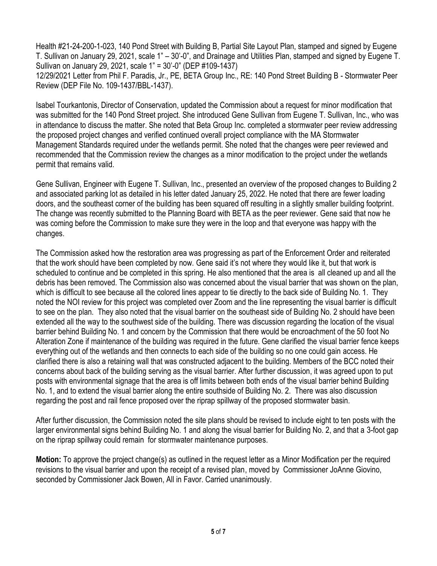Health #21-24-200-1-023, 140 Pond Street with Building B, Partial Site Layout Plan, stamped and signed by Eugene T. Sullivan on January 29, 2021, scale 1" – 30'-0", and Drainage and Utilities Plan, stamped and signed by Eugene T. Sullivan on January 29, 2021, scale 1" = 30'-0" (DEP #109-1437)

12/29/2021 Letter from Phil F. Paradis, Jr., PE, BETA Group Inc., RE: 140 Pond Street Building B - Stormwater Peer Review (DEP File No. 109-1437/BBL-1437).

Isabel Tourkantonis, Director of Conservation, updated the Commission about a request for minor modification that was submitted for the 140 Pond Street project. She introduced Gene Sullivan from Eugene T. Sullivan, Inc., who was in attendance to discuss the matter. She noted that Beta Group Inc. completed a stormwater peer review addressing the proposed project changes and verified continued overall project compliance with the MA Stormwater Management Standards required under the wetlands permit. She noted that the changes were peer reviewed and recommended that the Commission review the changes as a minor modification to the project under the wetlands permit that remains valid.

Gene Sullivan, Engineer with Eugene T. Sullivan, Inc., presented an overview of the proposed changes to Building 2 and associated parking lot as detailed in his letter dated January 25, 2022. He noted that there are fewer loading doors, and the southeast corner of the building has been squared off resulting in a slightly smaller building footprint. The change was recently submitted to the Planning Board with BETA as the peer reviewer. Gene said that now he was coming before the Commission to make sure they were in the loop and that everyone was happy with the changes.

The Commission asked how the restoration area was progressing as part of the Enforcement Order and reiterated that the work should have been completed by now. Gene said it's not where they would like it, but that work is scheduled to continue and be completed in this spring. He also mentioned that the area is all cleaned up and all the debris has been removed. The Commission also was concerned about the visual barrier that was shown on the plan, which is difficult to see because all the colored lines appear to tie directly to the back side of Building No. 1. They noted the NOI review for this project was completed over Zoom and the line representing the visual barrier is difficult to see on the plan. They also noted that the visual barrier on the southeast side of Building No. 2 should have been extended all the way to the southwest side of the building. There was discussion regarding the location of the visual barrier behind Building No. 1 and concern by the Commission that there would be encroachment of the 50 foot No Alteration Zone if maintenance of the building was required in the future. Gene clarified the visual barrier fence keeps everything out of the wetlands and then connects to each side of the building so no one could gain access. He clarified there is also a retaining wall that was constructed adjacent to the building. Members of the BCC noted their concerns about back of the building serving as the visual barrier. After further discussion, it was agreed upon to put posts with environmental signage that the area is off limits between both ends of the visual barrier behind Building No. 1, and to extend the visual barrier along the entire southside of Building No. 2. There was also discussion regarding the post and rail fence proposed over the riprap spillway of the proposed stormwater basin.

After further discussion, the Commission noted the site plans should be revised to include eight to ten posts with the larger environmental signs behind Building No. 1 and along the visual barrier for Building No. 2, and that a 3-foot gap on the riprap spillway could remain for stormwater maintenance purposes.

**Motion:** To approve the project change(s) as outlined in the request letter as a Minor Modification per the required revisions to the visual barrier and upon the receipt of a revised plan, moved by Commissioner JoAnne Giovino, seconded by Commissioner Jack Bowen, All in Favor. Carried unanimously.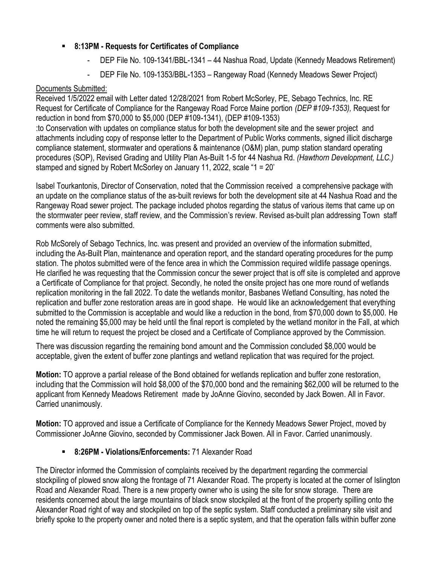# ▪ **8:13PM - Requests for Certificates of Compliance**

- DEP File No. 109-1341/BBL-1341 44 Nashua Road, Update (Kennedy Meadows Retirement)
- DEP File No. 109-1353/BBL-1353 Rangeway Road (Kennedy Meadows Sewer Project)

## Documents Submitted:

Received 1/5/2022 email with Letter dated 12/28/2021 from Robert McSorley, PE, Sebago Technics, Inc. RE Request for Certificate of Compliance for the Rangeway Road Force Maine portion *(DEP #109-1353),* Request for reduction in bond from \$70,000 to \$5,000 (DEP #109-1341), (DEP #109-1353) :to Conservation with updates on compliance status for both the development site and the sewer project and attachments including copy of response letter to the Department of Public Works comments, signed illicit discharge compliance statement, stormwater and operations & maintenance (O&M) plan, pump station standard operating procedures (SOP), Revised Grading and Utility Plan As-Built 1-5 for 44 Nashua Rd. *(Hawthorn Development, LLC.)*  stamped and signed by Robert McSorley on January 11, 2022, scale "1 = 20'

Isabel Tourkantonis, Director of Conservation, noted that the Commission received a comprehensive package with an update on the compliance status of the as-built reviews for both the development site at 44 Nashua Road and the Rangeway Road sewer project. The package included photos regarding the status of various items that came up on the stormwater peer review, staff review, and the Commission's review. Revised as-built plan addressing Town staff comments were also submitted.

Rob McSorely of Sebago Technics, Inc. was present and provided an overview of the information submitted, including the As-Built Plan, maintenance and operation report, and the standard operating procedures for the pump station. The photos submitted were of the fence area in which the Commission required wildlife passage openings. He clarified he was requesting that the Commission concur the sewer project that is off site is completed and approve a Certificate of Compliance for that project. Secondly, he noted the onsite project has one more round of wetlands replication monitoring in the fall 2022. To date the wetlands monitor, Basbanes Wetland Consulting, has noted the replication and buffer zone restoration areas are in good shape. He would like an acknowledgement that everything submitted to the Commission is acceptable and would like a reduction in the bond, from \$70,000 down to \$5,000. He noted the remaining \$5,000 may be held until the final report is completed by the wetland monitor in the Fall, at which time he will return to request the project be closed and a Certificate of Compliance approved by the Commission.

There was discussion regarding the remaining bond amount and the Commission concluded \$8,000 would be acceptable, given the extent of buffer zone plantings and wetland replication that was required for the project.

**Motion:** TO approve a partial release of the Bond obtained for wetlands replication and buffer zone restoration, including that the Commission will hold \$8,000 of the \$70,000 bond and the remaining \$62,000 will be returned to the applicant from Kennedy Meadows Retirement made by JoAnne Giovino, seconded by Jack Bowen. All in Favor. Carried unanimously.

**Motion:** TO approved and issue a Certificate of Compliance for the Kennedy Meadows Sewer Project, moved by Commissioner JoAnne Giovino, seconded by Commissioner Jack Bowen. All in Favor. Carried unanimously.

# 8:26PM - Violations/Enforcements: 71 Alexander Road

The Director informed the Commission of complaints received by the department regarding the commercial stockpiling of plowed snow along the frontage of 71 Alexander Road. The property is located at the corner of Islington Road and Alexander Road. There is a new property owner who is using the site for snow storage. There are residents concerned about the large mountains of black snow stockpiled at the front of the property spilling onto the Alexander Road right of way and stockpiled on top of the septic system. Staff conducted a preliminary site visit and briefly spoke to the property owner and noted there is a septic system, and that the operation falls within buffer zone